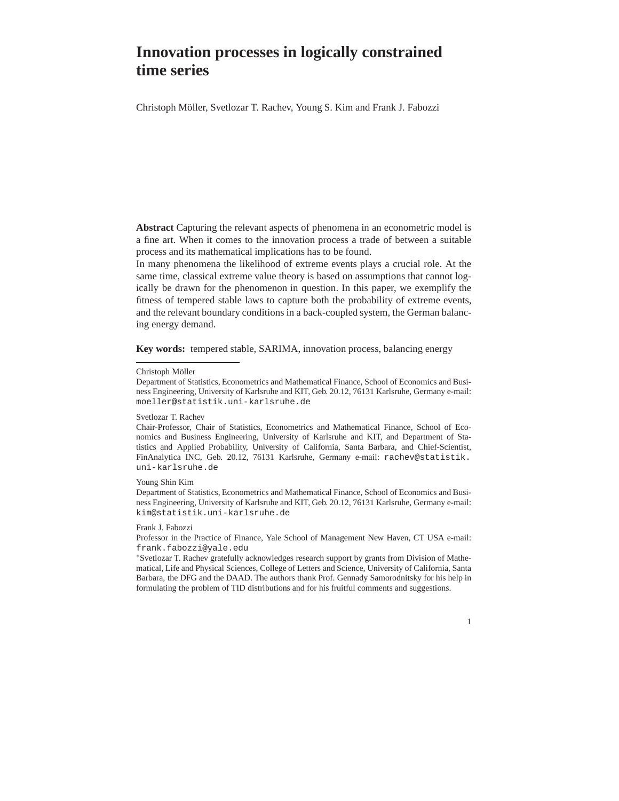# **Innovation processes in logically constrained time series**

Christoph Möller, Svetlozar T. Rachev, Young S. Kim and Frank J. Fabozzi

**Abstract** Capturing the relevant aspects of phenomena in an econometric model is a fine art. When it comes to the innovation process a trade of between a suitable process and its mathematical implications has to be found.

In many phenomena the likelihood of extreme events plays a crucial role. At the same time, classical extreme value theory is based on assumptions that cannot logically be drawn for the phenomenon in question. In this paper, we exemplify the fitness of tempered stable laws to capture both the probability of extreme events, and the relevant boundary conditions in a back-coupled system, the German balancing energy demand.

**Key words:** tempered stable, SARIMA, innovation process, balancing energy

#### Christoph Möller

#### Svetlozar T. Rachev

Chair-Professor, Chair of Statistics, Econometrics and Mathematical Finance, School of Economics and Business Engineering, University of Karlsruhe and KIT, and Department of Statistics and Applied Probability, University of California, Santa Barbara, and Chief-Scientist, FinAnalytica INC, Geb. 20.12, 76131 Karlsruhe, Germany e-mail: rachev@statistik. uni-karlsruhe.de

#### Young Shin Kim

Department of Statistics, Econometrics and Mathematical Finance, School of Economics and Business Engineering, University of Karlsruhe and KIT, Geb. 20.12, 76131 Karlsruhe, Germany e-mail: kim@statistik.uni-karlsruhe.de

#### Frank J. Fabozzi

Professor in the Practice of Finance, Yale School of Management New Haven, CT USA e-mail: frank.fabozzi@yale.edu

∗Svetlozar T. Rachev gratefully acknowledges research support by grants from Division of Mathematical, Life and Physical Sciences, College of Letters and Science, University of California, Santa Barbara, the DFG and the DAAD. The authors thank Prof. Gennady Samorodnitsky for his help in formulating the problem of TID distributions and for his fruitful comments and suggestions.

1

Department of Statistics, Econometrics and Mathematical Finance, School of Economics and Business Engineering, University of Karlsruhe and KIT, Geb. 20.12, 76131 Karlsruhe, Germany e-mail: moeller@statistik.uni-karlsruhe.de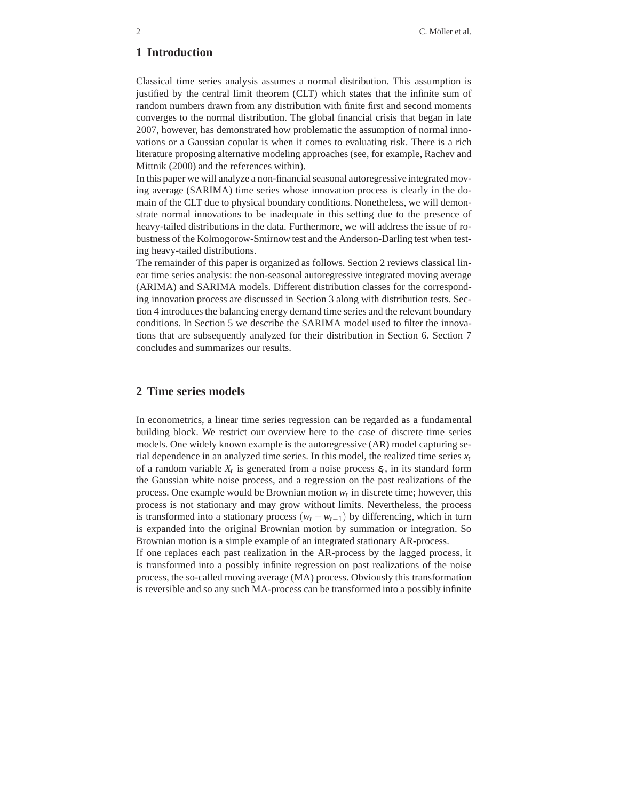## **1 Introduction**

Classical time series analysis assumes a normal distribution. This assumption is justified by the central limit theorem (CLT) which states that the infinite sum of random numbers drawn from any distribution with finite first and second moments converges to the normal distribution. The global financial crisis that began in late 2007, however, has demonstrated how problematic the assumption of normal innovations or a Gaussian copular is when it comes to evaluating risk. There is a rich literature proposing alternative modeling approaches (see, for example, Rachev and Mittnik (2000) and the references within).

In this paper we will analyze a non-financial seasonal autoregressive integrated moving average (SARIMA) time series whose innovation process is clearly in the domain of the CLT due to physical boundary conditions. Nonetheless, we will demonstrate normal innovations to be inadequate in this setting due to the presence of heavy-tailed distributions in the data. Furthermore, we will address the issue of robustness of the Kolmogorow-Smirnow test and the Anderson-Darling test when testing heavy-tailed distributions.

The remainder of this paper is organized as follows. Section 2 reviews classical linear time series analysis: the non-seasonal autoregressive integrated moving average (ARIMA) and SARIMA models. Different distribution classes for the corresponding innovation process are discussed in Section 3 along with distribution tests. Section 4 introduces the balancing energy demand time series and the relevant boundary conditions. In Section 5 we describe the SARIMA model used to filter the innovations that are subsequently analyzed for their distribution in Section 6. Section 7 concludes and summarizes our results.

# **2 Time series models**

In econometrics, a linear time series regression can be regarded as a fundamental building block. We restrict our overview here to the case of discrete time series models. One widely known example is the autoregressive (AR) model capturing serial dependence in an analyzed time series. In this model, the realized time series  $x_t$ of a random variable  $X_t$  is generated from a noise process  $\varepsilon_t$ , in its standard form the Gaussian white noise process, and a regression on the past realizations of the process. One example would be Brownian motion  $w_t$  in discrete time; however, this process is not stationary and may grow without limits. Nevertheless, the process is transformed into a stationary process  $(w_t - w_{t-1})$  by differencing, which in turn is expanded into the original Brownian motion by summation or integration. So Brownian motion is a simple example of an integrated stationary AR-process.

If one replaces each past realization in the AR-process by the lagged process, it is transformed into a possibly infinite regression on past realizations of the noise process, the so-called moving average (MA) process. Obviously this transformation is reversible and so any such MA-process can be transformed into a possibly infinite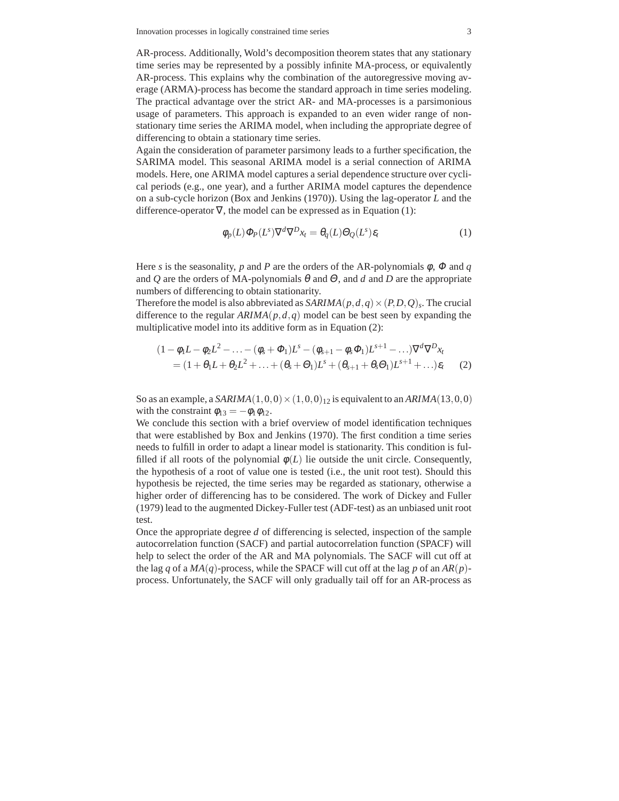AR-process. Additionally, Wold's decomposition theorem states that any stationary time series may be represented by a possibly infinite MA-process, or equivalently AR-process. This explains why the combination of the autoregressive moving average (ARMA)-process has become the standard approach in time series modeling. The practical advantage over the strict AR- and MA-processes is a parsimonious usage of parameters. This approach is expanded to an even wider range of nonstationary time series the ARIMA model, when including the appropriate degree of differencing to obtain a stationary time series.

Again the consideration of parameter parsimony leads to a further specification, the SARIMA model. This seasonal ARIMA model is a serial connection of ARIMA models. Here, one ARIMA model captures a serial dependence structure over cyclical periods (e.g., one year), and a further ARIMA model captures the dependence on a sub-cycle horizon (Box and Jenkins (1970)). Using the lag-operator *L* and the difference-operator  $\nabla$ , the model can be expressed as in Equation (1):

$$
\phi_p(L)\Phi_p(L^s)\nabla^d\nabla^D x_t = \theta_q(L)\Theta_Q(L^s)\varepsilon_t \tag{1}
$$

Here *s* is the seasonality, *p* and *P* are the orders of the AR-polynomials  $\phi$ ,  $\Phi$  and *q* and  $Q$  are the orders of MA-polynomials  $\theta$  and  $\theta$ , and  $d$  and  $D$  are the appropriate numbers of differencing to obtain stationarity.

Therefore the model is also abbreviated as  $SARIMA(p,d,q) \times (P,D,Q)$ <sup>s</sup>. The crucial difference to the regular  $ARIMA(p,d,q)$  model can be best seen by expanding the multiplicative model into its additive form as in Equation (2):

$$
(1 - \phi_1 L - \phi_2 L^2 - \dots - (\phi_s + \Phi_1)L^s - (\phi_{s+1} - \phi_s \Phi_1)L^{s+1} - \dots)\nabla^d \nabla^D x_t
$$
  
= (1 + \theta\_1 L + \theta\_2 L^2 + \dots + (\theta\_s + \Theta\_1)L^s + (\theta\_{s+1} + \theta\_s \Theta\_1)L^{s+1} + \dots)\varepsilon\_t (2)

So as an example, a  $SARIMA(1,0,0)\times(1,0,0)_{12}$  is equivalent to an  $ARIMA(13,0,0)$ with the constraint  $\phi_{13} = -\phi_1 \phi_{12}$ .

We conclude this section with a brief overview of model identification techniques that were established by Box and Jenkins (1970). The first condition a time series needs to fulfill in order to adapt a linear model is stationarity. This condition is fulfilled if all roots of the polynomial  $\phi(L)$  lie outside the unit circle. Consequently, the hypothesis of a root of value one is tested (i.e., the unit root test). Should this hypothesis be rejected, the time series may be regarded as stationary, otherwise a higher order of differencing has to be considered. The work of Dickey and Fuller (1979) lead to the augmented Dickey-Fuller test (ADF-test) as an unbiased unit root test.

Once the appropriate degree *d* of differencing is selected, inspection of the sample autocorrelation function (SACF) and partial autocorrelation function (SPACF) will help to select the order of the AR and MA polynomials. The SACF will cut off at the lag *q* of a  $MA(q)$ -process, while the SPACF will cut off at the lag *p* of an  $AR(p)$ process. Unfortunately, the SACF will only gradually tail off for an AR-process as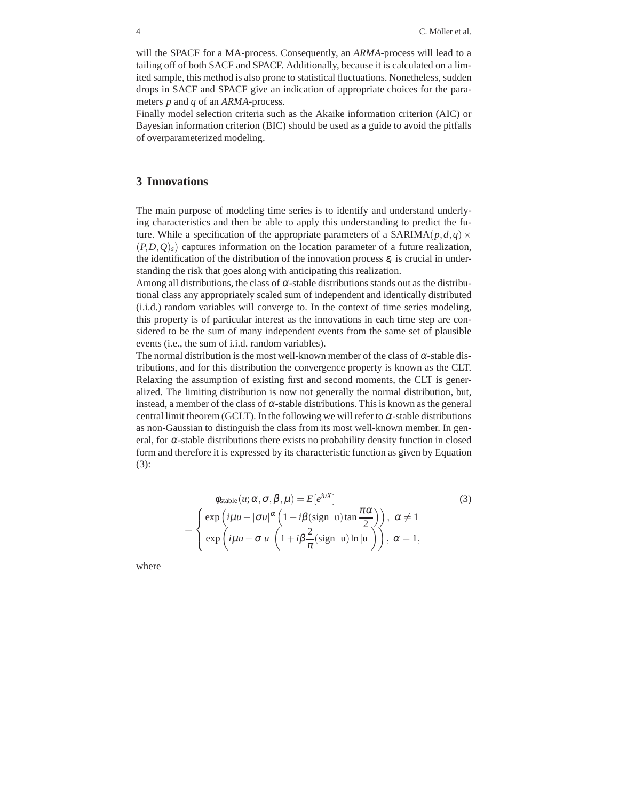will the SPACF for a MA-process. Consequently, an *ARMA*-process will lead to a tailing off of both SACF and SPACF. Additionally, because it is calculated on a limited sample, this method is also prone to statistical fluctuations. Nonetheless, sudden drops in SACF and SPACF give an indication of appropriate choices for the parameters *p* and *q* of an *ARMA*-process.

Finally model selection criteria such as the Akaike information criterion (AIC) or Bayesian information criterion (BIC) should be used as a guide to avoid the pitfalls of overparameterized modeling.

## **3 Innovations**

The main purpose of modeling time series is to identify and understand underlying characteristics and then be able to apply this understanding to predict the future. While a specification of the appropriate parameters of a SARIMA $(p,d,q)$  ×  $(P, D, Q)$ <sup>s</sup>) captures information on the location parameter of a future realization, the identification of the distribution of the innovation process  $\varepsilon_t$  is crucial in understanding the risk that goes along with anticipating this realization.

Among all distributions, the class of  $\alpha$ -stable distributions stands out as the distributional class any appropriately scaled sum of independent and identically distributed (i.i.d.) random variables will converge to. In the context of time series modeling, this property is of particular interest as the innovations in each time step are considered to be the sum of many independent events from the same set of plausible events (i.e., the sum of i.i.d. random variables).

The normal distribution is the most well-known member of the class of  $\alpha$ -stable distributions, and for this distribution the convergence property is known as the CLT. Relaxing the assumption of existing first and second moments, the CLT is generalized. The limiting distribution is now not generally the normal distribution, but, instead, a member of the class of  $\alpha$ -stable distributions. This is known as the general central limit theorem (GCLT). In the following we will refer to  $\alpha$ -stable distributions as non-Gaussian to distinguish the class from its most well-known member. In general, for  $\alpha$ -stable distributions there exists no probability density function in closed form and therefore it is expressed by its characteristic function as given by Equation (3):

$$
\phi_{stable}(u; \alpha, \sigma, \beta, \mu) = E[e^{iuX}]
$$
\n
$$
= \begin{cases}\n\exp\left(i\mu u - |\sigma u|^{\alpha}\left(1 - i\beta(\text{sign } u)\tan\frac{\pi\alpha}{2}\right)\right), & \alpha \neq 1 \\
\exp\left(i\mu u - \sigma |u|\left(1 + i\beta\frac{2}{\pi}(\text{sign } u)\ln|u|\right)\right), & \alpha = 1,\n\end{cases}
$$
\n(3)

where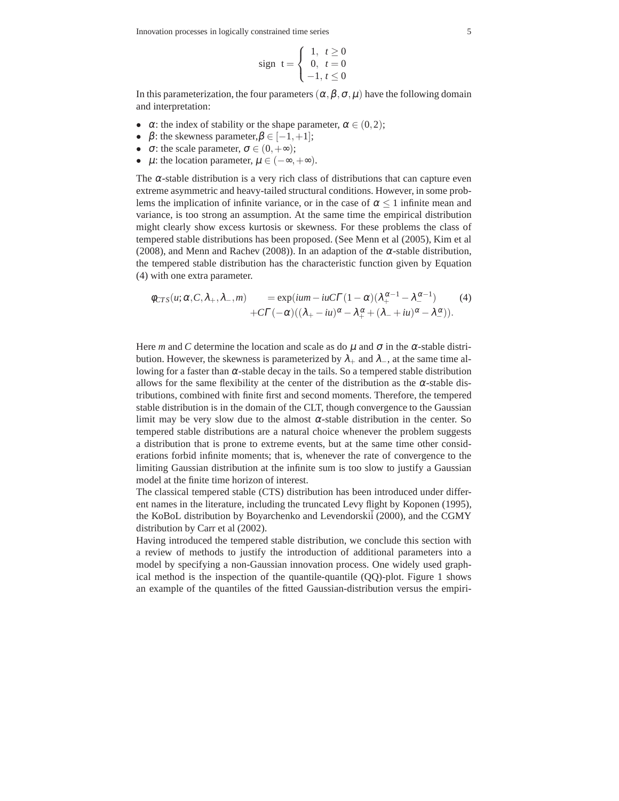Innovation processes in logically constrained time series 5

sign 
$$
t = \begin{cases} 1, & t \ge 0 \\ 0, & t = 0 \\ -1, & t \le 0 \end{cases}
$$

In this parameterization, the four parameters ( $\alpha, \beta, \sigma, \mu$ ) have the following domain and interpretation:

- $\alpha$ : the index of stability or the shape parameter,  $\alpha \in (0, 2)$ ;
- $\beta$ : the skewness parameter,  $\beta \in [-1, +1]$ ;
- $\sigma$ : the scale parameter,  $\sigma \in (0, +\infty)$ ;
- $\mu$ : the location parameter,  $\mu \in (-\infty, +\infty)$ .

The  $\alpha$ -stable distribution is a very rich class of distributions that can capture even extreme asymmetric and heavy-tailed structural conditions. However, in some problems the implication of infinite variance, or in the case of  $\alpha$  < 1 infinite mean and variance, is too strong an assumption. At the same time the empirical distribution might clearly show excess kurtosis or skewness. For these problems the class of tempered stable distributions has been proposed. (See Menn et al (2005), Kim et al (2008), and Menn and Rachev (2008)). In an adaption of the  $\alpha$ -stable distribution, the tempered stable distribution has the characteristic function given by Equation (4) with one extra parameter.

$$
\phi_{CTS}(u;\alpha,C,\lambda_+,\lambda_-,m) = \exp(ium - iuCT(1-\alpha)(\lambda_+^{\alpha-1} - \lambda_-^{\alpha-1})
$$
\n
$$
+CT(-\alpha)((\lambda_+ - iu)^{\alpha} - \lambda_+^{\alpha} + (\lambda_- + iu)^{\alpha} - \lambda_-^{\alpha})).
$$
\n(4)

Here *m* and *C* determine the location and scale as do  $\mu$  and  $\sigma$  in the  $\alpha$ -stable distribution. However, the skewness is parameterized by  $\lambda_+$  and  $\lambda_-$ , at the same time allowing for a faster than  $\alpha$ -stable decay in the tails. So a tempered stable distribution allows for the same flexibility at the center of the distribution as the  $\alpha$ -stable distributions, combined with finite first and second moments. Therefore, the tempered stable distribution is in the domain of the CLT, though convergence to the Gaussian limit may be very slow due to the almost  $\alpha$ -stable distribution in the center. So tempered stable distributions are a natural choice whenever the problem suggests a distribution that is prone to extreme events, but at the same time other considerations forbid infinite moments; that is, whenever the rate of convergence to the limiting Gaussian distribution at the infinite sum is too slow to justify a Gaussian model at the finite time horizon of interest.

The classical tempered stable (CTS) distribution has been introduced under different names in the literature, including the truncated Levy flight by Koponen (1995), the KoBoL distribution by Boyarchenko and Levendorskii (2000), and the CGMY distribution by Carr et al (2002).

Having introduced the tempered stable distribution, we conclude this section with a review of methods to justify the introduction of additional parameters into a model by specifying a non-Gaussian innovation process. One widely used graphical method is the inspection of the quantile-quantile (QQ)-plot. Figure 1 shows an example of the quantiles of the fitted Gaussian-distribution versus the empiri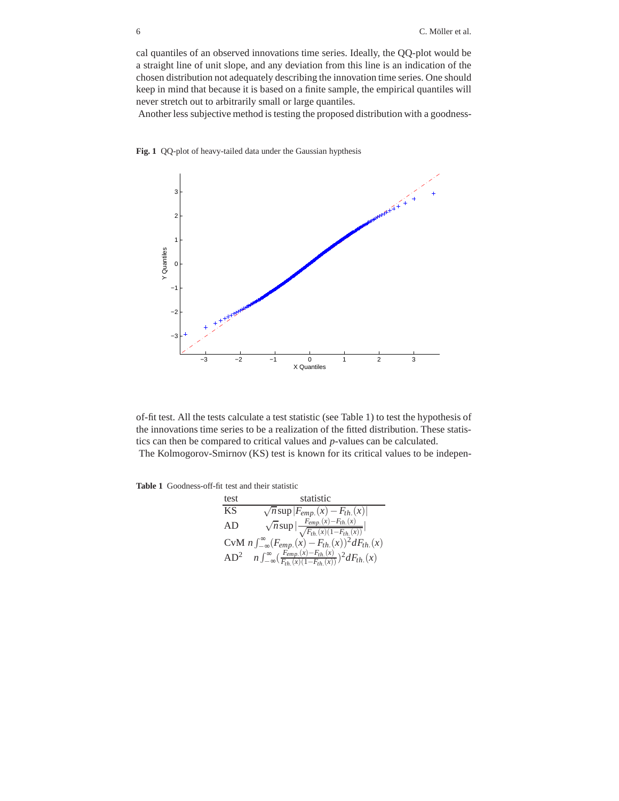cal quantiles of an observed innovations time series. Ideally, the QQ-plot would be a straight line of unit slope, and any deviation from this line is an indication of the chosen distribution not adequately describing the innovation time series. One should keep in mind that because it is based on a finite sample, the empirical quantiles will never stretch out to arbitrarily small or large quantiles.

Another less subjective method is testing the proposed distribution with a goodness-





of-fit test. All the tests calculate a test statistic (see Table 1) to test the hypothesis of the innovations time series to be a realization of the fitted distribution. These statistics can then be compared to critical values and *p*-values can be calculated. The Kolmogorov-Smirnov (KS) test is known for its critical values to be indepen-

**Table 1** Goodness-off-fit test and their statistic

| test   | statistic                                                                                                            |
|--------|----------------------------------------------------------------------------------------------------------------------|
| KS.    | $\sqrt{n}$ sup $ F_{emp}(x) - F_{th}(x) $                                                                            |
| AD     | $\sqrt{n}$ sup $\left \frac{F_{emp.}(x)-F_{th.}(x)}{\sqrt{F_{th.}(x)(1-F_{th.}(x))}}\right $                         |
|        | CvM $n \int_{-\infty}^{\infty} (F_{emp.}(x) - F_{th.}(x))^2 dF_{th.}(x)$                                             |
| $AD^2$ | $n \int_{-\infty}^{\infty} \left( \frac{F_{emp.}(x) - F_{th.}(x)}{F_{th.}(x)(1 - F_{th.}(x))} \right)^2 dF_{th.}(x)$ |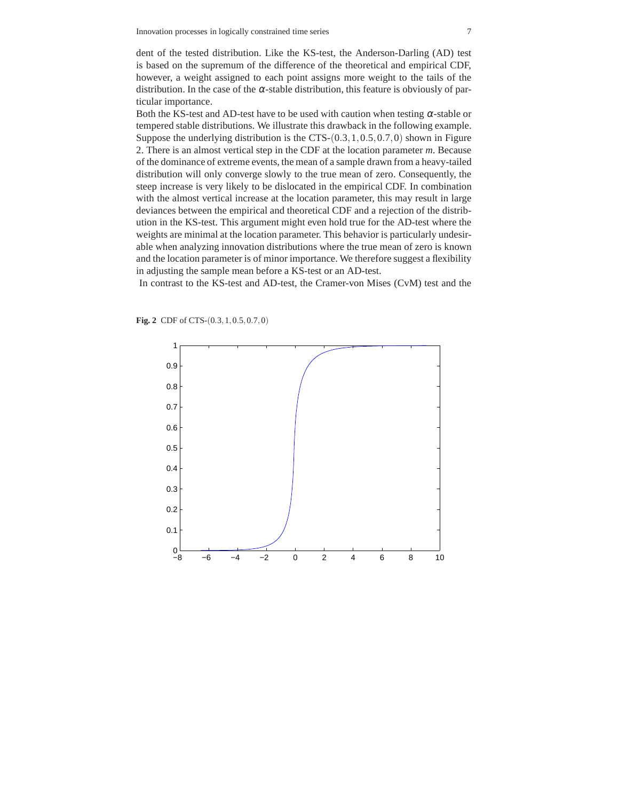dent of the tested distribution. Like the KS-test, the Anderson-Darling (AD) test is based on the supremum of the difference of the theoretical and empirical CDF, however, a weight assigned to each point assigns more weight to the tails of the distribution. In the case of the  $\alpha$ -stable distribution, this feature is obviously of particular importance.

Both the KS-test and AD-test have to be used with caution when testing  $\alpha$ -stable or tempered stable distributions. We illustrate this drawback in the following example. Suppose the underlying distribution is the CTS- $(0.3, 1, 0.5, 0.7, 0)$  shown in Figure 2. There is an almost vertical step in the CDF at the location parameter *m*. Because of the dominance of extreme events, the mean of a sample drawn from a heavy-tailed distribution will only converge slowly to the true mean of zero. Consequently, the steep increase is very likely to be dislocated in the empirical CDF. In combination with the almost vertical increase at the location parameter, this may result in large deviances between the empirical and theoretical CDF and a rejection of the distribution in the KS-test. This argument might even hold true for the AD-test where the weights are minimal at the location parameter. This behavior is particularly undesirable when analyzing innovation distributions where the true mean of zero is known and the location parameter is of minor importance. We therefore suggest a flexibility in adjusting the sample mean before a KS-test or an AD-test.

In contrast to the KS-test and AD-test, the Cramer-von Mises (CvM) test and the



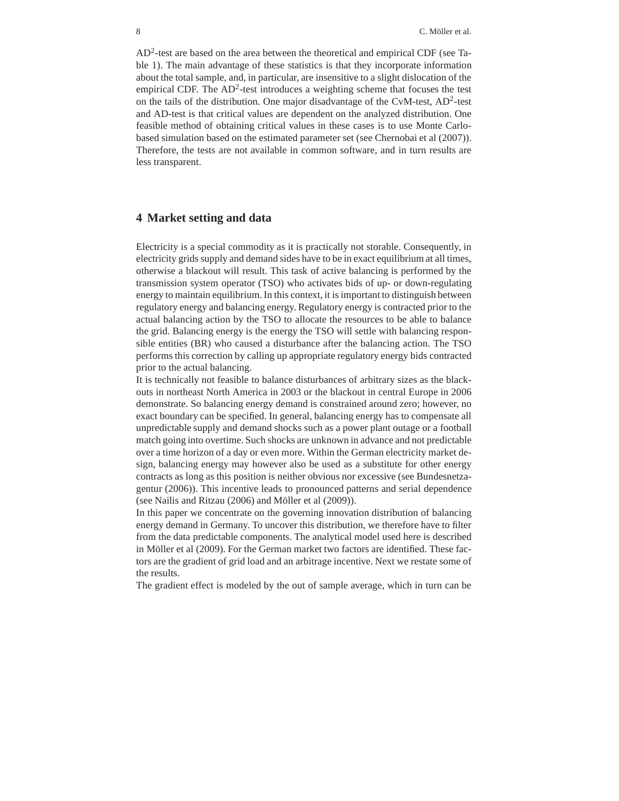AD<sup>2</sup>-test are based on the area between the theoretical and empirical CDF (see Table 1). The main advantage of these statistics is that they incorporate information about the total sample, and, in particular, are insensitive to a slight dislocation of the empirical CDF. The AD<sup>2</sup>-test introduces a weighting scheme that focuses the test on the tails of the distribution. One major disadvantage of the CvM-test,  $AD^2$ -test and AD-test is that critical values are dependent on the analyzed distribution. One feasible method of obtaining critical values in these cases is to use Monte Carlobased simulation based on the estimated parameter set (see Chernobai et al (2007)). Therefore, the tests are not available in common software, and in turn results are less transparent.

## **4 Market setting and data**

Electricity is a special commodity as it is practically not storable. Consequently, in electricity grids supply and demand sides have to be in exact equilibrium at all times, otherwise a blackout will result. This task of active balancing is performed by the transmission system operator (TSO) who activates bids of up- or down-regulating energy to maintain equilibrium. In this context, it is important to distinguish between regulatory energy and balancing energy. Regulatory energy is contracted prior to the actual balancing action by the TSO to allocate the resources to be able to balance the grid. Balancing energy is the energy the TSO will settle with balancing responsible entities (BR) who caused a disturbance after the balancing action. The TSO performs this correction by calling up appropriate regulatory energy bids contracted prior to the actual balancing.

It is technically not feasible to balance disturbances of arbitrary sizes as the blackouts in northeast North America in 2003 or the blackout in central Europe in 2006 demonstrate. So balancing energy demand is constrained around zero; however, no exact boundary can be specified. In general, balancing energy has to compensate all unpredictable supply and demand shocks such as a power plant outage or a football match going into overtime. Such shocks are unknown in advance and not predictable over a time horizon of a day or even more. Within the German electricity market design, balancing energy may however also be used as a substitute for other energy contracts as long as this position is neither obvious nor excessive (see Bundesnetzagentur (2006)). This incentive leads to pronounced patterns and serial dependence (see Nailis and Ritzau (2006) and Möller et al (2009)).

In this paper we concentrate on the governing innovation distribution of balancing energy demand in Germany. To uncover this distribution, we therefore have to filter from the data predictable components. The analytical model used here is described in Möller et al (2009). For the German market two factors are identified. These factors are the gradient of grid load and an arbitrage incentive. Next we restate some of the results.

The gradient effect is modeled by the out of sample average, which in turn can be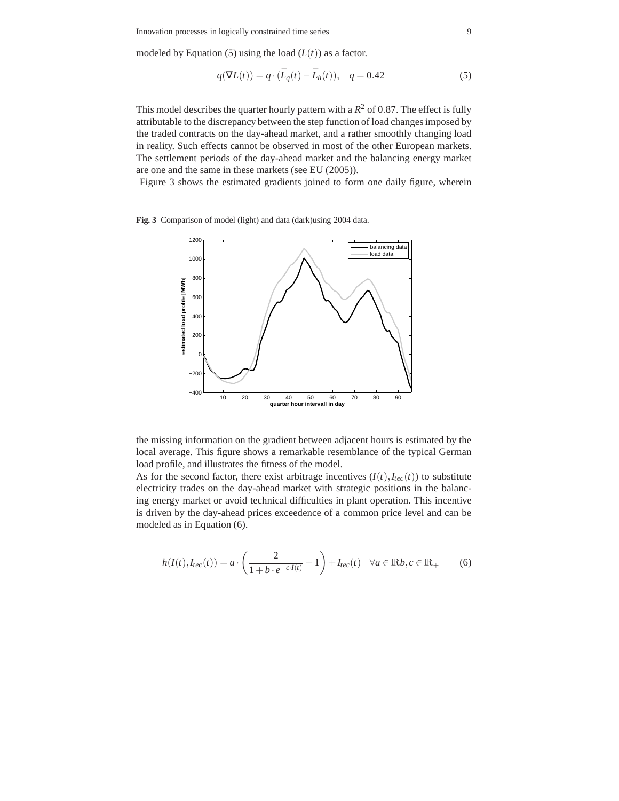modeled by Equation (5) using the load  $(L(t))$  as a factor.

$$
q(\nabla L(t)) = q \cdot (\bar{L}_q(t) - \bar{L}_h(t)), \quad q = 0.42
$$
 (5)

This model describes the quarter hourly pattern with a  $R^2$  of 0.87. The effect is fully attributable to the discrepancy between the step function of load changes imposed by the traded contracts on the day-ahead market, and a rather smoothly changing load in reality. Such effects cannot be observed in most of the other European markets. The settlement periods of the day-ahead market and the balancing energy market are one and the same in these markets (see EU (2005)).

Figure 3 shows the estimated gradients joined to form one daily figure, wherein

**Fig. 3** Comparison of model (light) and data (dark)using 2004 data.



the missing information on the gradient between adjacent hours is estimated by the local average. This figure shows a remarkable resemblance of the typical German load profile, and illustrates the fitness of the model.

As for the second factor, there exist arbitrage incentives  $(I(t), I_{tec}(t))$  to substitute electricity trades on the day-ahead market with strategic positions in the balancing energy market or avoid technical difficulties in plant operation. This incentive is driven by the day-ahead prices exceedence of a common price level and can be modeled as in Equation (6).

$$
h(I(t), I_{\text{rec}}(t)) = a \cdot \left(\frac{2}{1 + b \cdot e^{-c \cdot I(t)}} - 1\right) + I_{\text{rec}}(t) \quad \forall a \in \mathbb{R}b, c \in \mathbb{R}_+ \tag{6}
$$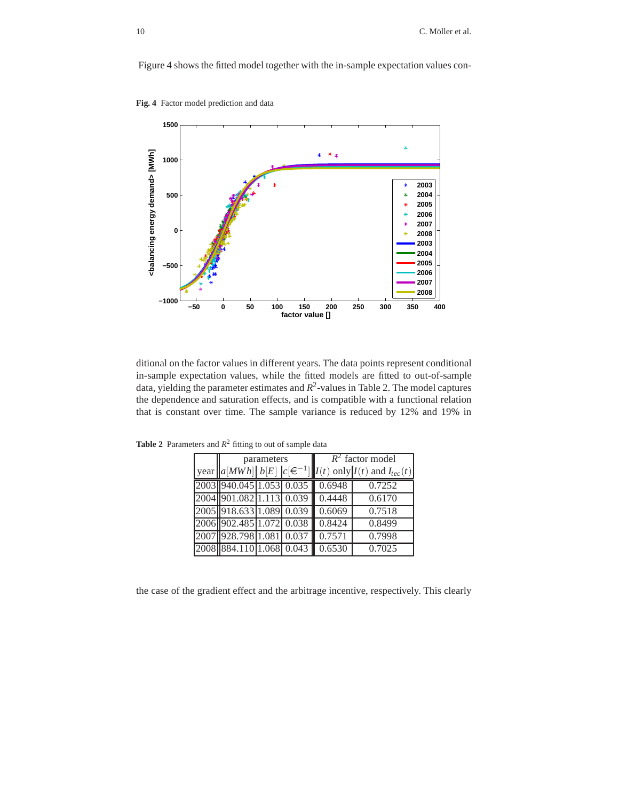Figure 4 shows the fitted model together with the in-sample expectation values con-

**Fig. 4** Factor model prediction and data



ditional on the factor values in different years. The data points represent conditional in-sample expectation values, while the fitted models are fitted to out-of-sample data, yielding the parameter estimates and  $R^2$ -values in Table 2. The model captures the dependence and saturation effects, and is compatible with a functional relation that is constant over time. The sample variance is reduced by 12% and 19% in

|                                 | parameters | $R^2$ factor model              |                                                                                           |  |
|---------------------------------|------------|---------------------------------|-------------------------------------------------------------------------------------------|--|
|                                 |            |                                 | year $  a[MWh]  b[E]  c[ \in ]^{-1}    I(t) \text{ only }  I(t) \text{ and } I_{tec}(t) $ |  |
|                                 |            | 2003 940.045 1.053 0.035 0.6948 | 0.7252                                                                                    |  |
|                                 |            | 2004 901.082 1.113 0.039 0.4448 | 0.6170                                                                                    |  |
|                                 |            | 2005 918.633 1.089 0.039 0.6069 | 0.7518                                                                                    |  |
| 2006 902.485 1.072 0.038 0.8424 |            |                                 | 0.8499                                                                                    |  |
| 2007 928.798 1.081 0.037 0.7571 |            |                                 | 0.7998                                                                                    |  |
| 2008 884.110 1.068 0.043 0.6530 |            |                                 | 0.7025                                                                                    |  |

**Table 2** Parameters and  $R^2$  fitting to out of sample data

the case of the gradient effect and the arbitrage incentive, respectively. This clearly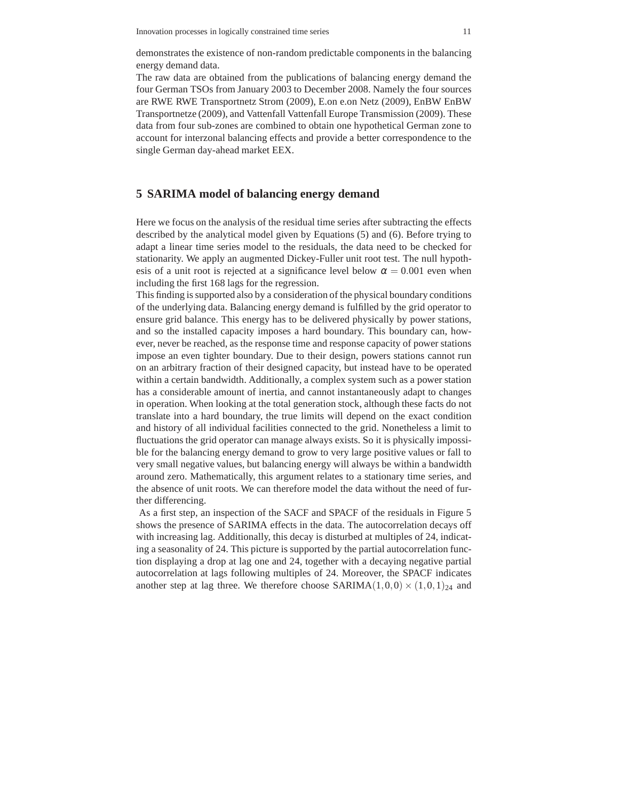demonstrates the existence of non-random predictable components in the balancing energy demand data.

The raw data are obtained from the publications of balancing energy demand the four German TSOs from January 2003 to December 2008. Namely the four sources are RWE RWE Transportnetz Strom (2009), E.on e.on Netz (2009), EnBW EnBW Transportnetze (2009), and Vattenfall Vattenfall Europe Transmission (2009). These data from four sub-zones are combined to obtain one hypothetical German zone to account for interzonal balancing effects and provide a better correspondence to the single German day-ahead market EEX.

## **5 SARIMA model of balancing energy demand**

Here we focus on the analysis of the residual time series after subtracting the effects described by the analytical model given by Equations (5) and (6). Before trying to adapt a linear time series model to the residuals, the data need to be checked for stationarity. We apply an augmented Dickey-Fuller unit root test. The null hypothesis of a unit root is rejected at a significance level below  $\alpha = 0.001$  even when including the first 168 lags for the regression.

This finding is supported also by a consideration of the physical boundary conditions of the underlying data. Balancing energy demand is fulfilled by the grid operator to ensure grid balance. This energy has to be delivered physically by power stations, and so the installed capacity imposes a hard boundary. This boundary can, however, never be reached, as the response time and response capacity of power stations impose an even tighter boundary. Due to their design, powers stations cannot run on an arbitrary fraction of their designed capacity, but instead have to be operated within a certain bandwidth. Additionally, a complex system such as a power station has a considerable amount of inertia, and cannot instantaneously adapt to changes in operation. When looking at the total generation stock, although these facts do not translate into a hard boundary, the true limits will depend on the exact condition and history of all individual facilities connected to the grid. Nonetheless a limit to fluctuations the grid operator can manage always exists. So it is physically impossible for the balancing energy demand to grow to very large positive values or fall to very small negative values, but balancing energy will always be within a bandwidth around zero. Mathematically, this argument relates to a stationary time series, and the absence of unit roots. We can therefore model the data without the need of further differencing.

As a first step, an inspection of the SACF and SPACF of the residuals in Figure 5 shows the presence of SARIMA effects in the data. The autocorrelation decays off with increasing lag. Additionally, this decay is disturbed at multiples of 24, indicating a seasonality of 24. This picture is supported by the partial autocorrelation function displaying a drop at lag one and 24, together with a decaying negative partial autocorrelation at lags following multiples of 24. Moreover, the SPACF indicates another step at lag three. We therefore choose  $SARIMA(1,0,0) \times (1,0,1)_{24}$  and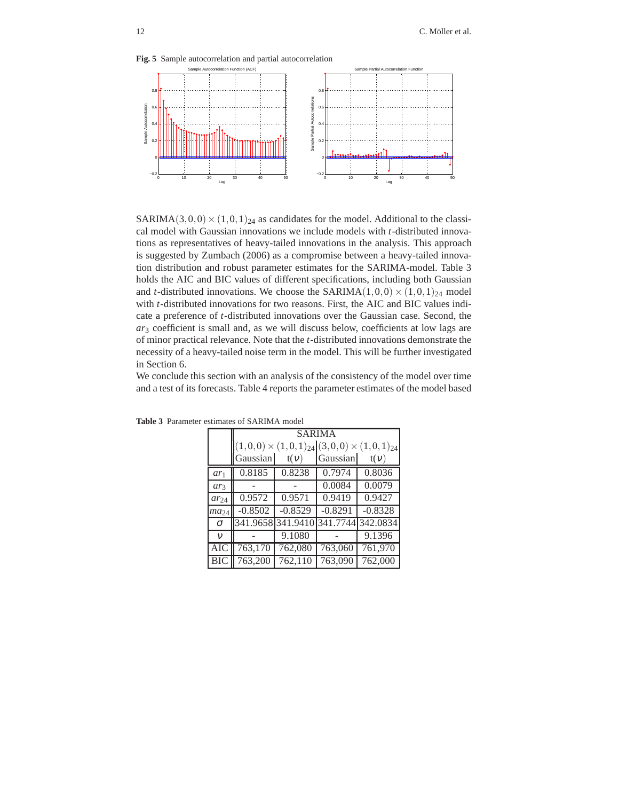



SARIMA(3,0,0)  $\times$  (1,0,1)<sub>24</sub> as candidates for the model. Additional to the classical model with Gaussian innovations we include models with *t*-distributed innovations as representatives of heavy-tailed innovations in the analysis. This approach is suggested by Zumbach (2006) as a compromise between a heavy-tailed innovation distribution and robust parameter estimates for the SARIMA-model. Table 3 holds the AIC and BIC values of different specifications, including both Gaussian and *t*-distributed innovations. We choose the SARIMA $(1,0,0) \times (1,0,1)_{24}$  model with *t*-distributed innovations for two reasons. First, the AIC and BIC values indicate a preference of *t*-distributed innovations over the Gaussian case. Second, the *ar*<sup>3</sup> coefficient is small and, as we will discuss below, coefficients at low lags are of minor practical relevance. Note that the *t*-distributed innovations demonstrate the necessity of a heavy-tailed noise term in the model. This will be further investigated in Section 6.

We conclude this section with an analysis of the consistency of the model over time and a test of its forecasts. Table 4 reports the parameter estimates of the model based

|                  | <b>SARIMA</b>       |           |                                                             |           |  |  |  |  |
|------------------|---------------------|-----------|-------------------------------------------------------------|-----------|--|--|--|--|
|                  |                     |           | $(1,0,0) \times (1,0,1)_{24}$ $(3,0,0) \times (1,0,1)_{24}$ |           |  |  |  |  |
|                  | Gaussian            | t(v)      | Gaussian                                                    | t(v)      |  |  |  |  |
| $ar_1$           | 0.8185              | 0.8238    | 0.7974                                                      | 0.8036    |  |  |  |  |
| $ar_3$           |                     |           | 0.0084                                                      | 0.0079    |  |  |  |  |
| $ar_{24}$        | $\overline{0.9572}$ | 0.9571    | 0.9419                                                      | 0.9427    |  |  |  |  |
| ma <sub>24</sub> | $-0.8502$           | $-0.8529$ | $-0.8291$                                                   | $-0.8328$ |  |  |  |  |
| $\sigma$         | 341.9658            | 341.9410  | 341.7744                                                    | 342.0834  |  |  |  |  |
| $\mathcal V$     |                     | 9.1080    |                                                             | 9.1396    |  |  |  |  |
| AIC              | 763,170             | 762,080   | 763,060                                                     | 761,970   |  |  |  |  |
|                  | 763,200             | 762,110   | 763,090                                                     | 762,000   |  |  |  |  |

**Table 3** Parameter estimates of SARIMA model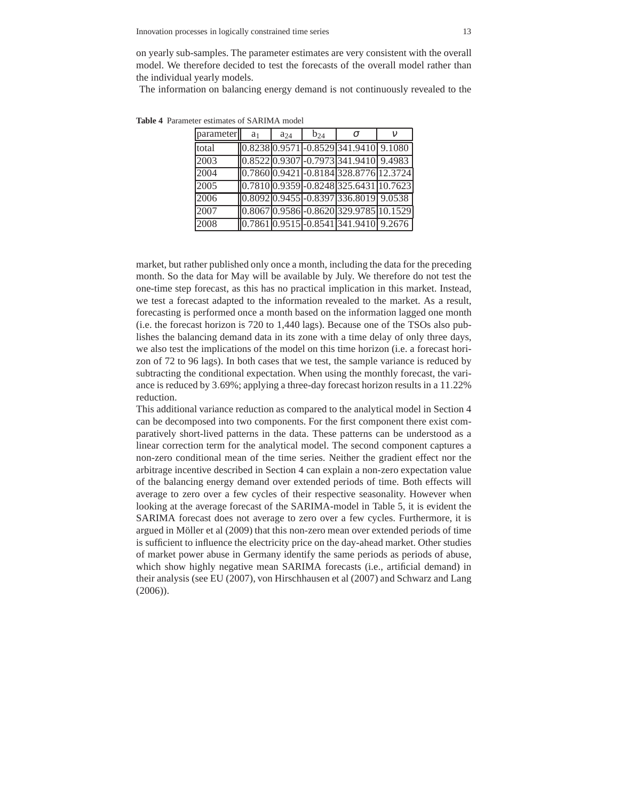on yearly sub-samples. The parameter estimates are very consistent with the overall model. We therefore decided to test the forecasts of the overall model rather than the individual yearly models.

The information on balancing energy demand is not continuously revealed to the

| parameter | a <sub>1</sub> | $a_{24}$ | $b_{24}$ |                                               |  |
|-----------|----------------|----------|----------|-----------------------------------------------|--|
| total     |                |          |          | $[0.8238]0.9571] - 0.8529] 341.9410] 9.1080$  |  |
| 2003      |                |          |          | $[0.8522] 0.9307 - 0.7973] 341.9410] 9.4983$  |  |
| 2004      |                |          |          | 0.7860 0.9421 - 0.8184 328.8776 12.3724       |  |
| 2005      |                |          |          | 0.7810 0.9359 - 0.8248 325.6431 10.7623       |  |
| 2006      |                |          |          | $[0.8092]0.9455]$ -0.8397 336.8019 9.0538     |  |
| 2007      |                |          |          | 0.8067 0.9586 - 0.8620 329.9785 10.1529       |  |
| 2008      |                |          |          | $[0.7861] 0.9515] - 0.8541] 341.9410] 9.2676$ |  |

**Table 4** Parameter estimates of SARIMA model

market, but rather published only once a month, including the data for the preceding month. So the data for May will be available by July. We therefore do not test the one-time step forecast, as this has no practical implication in this market. Instead, we test a forecast adapted to the information revealed to the market. As a result, forecasting is performed once a month based on the information lagged one month (i.e. the forecast horizon is 720 to 1,440 lags). Because one of the TSOs also publishes the balancing demand data in its zone with a time delay of only three days, we also test the implications of the model on this time horizon (i.e. a forecast horizon of 72 to 96 lags). In both cases that we test, the sample variance is reduced by subtracting the conditional expectation. When using the monthly forecast, the variance is reduced by 3.69%; applying a three-day forecast horizon results in a 11.22% reduction.

This additional variance reduction as compared to the analytical model in Section 4 can be decomposed into two components. For the first component there exist comparatively short-lived patterns in the data. These patterns can be understood as a linear correction term for the analytical model. The second component captures a non-zero conditional mean of the time series. Neither the gradient effect nor the arbitrage incentive described in Section 4 can explain a non-zero expectation value of the balancing energy demand over extended periods of time. Both effects will average to zero over a few cycles of their respective seasonality. However when looking at the average forecast of the SARIMA-model in Table 5, it is evident the SARIMA forecast does not average to zero over a few cycles. Furthermore, it is argued in Möller et al (2009) that this non-zero mean over extended periods of time is sufficient to influence the electricity price on the day-ahead market. Other studies of market power abuse in Germany identify the same periods as periods of abuse, which show highly negative mean SARIMA forecasts (i.e., artificial demand) in their analysis (see EU (2007), von Hirschhausen et al (2007) and Schwarz and Lang (2006)).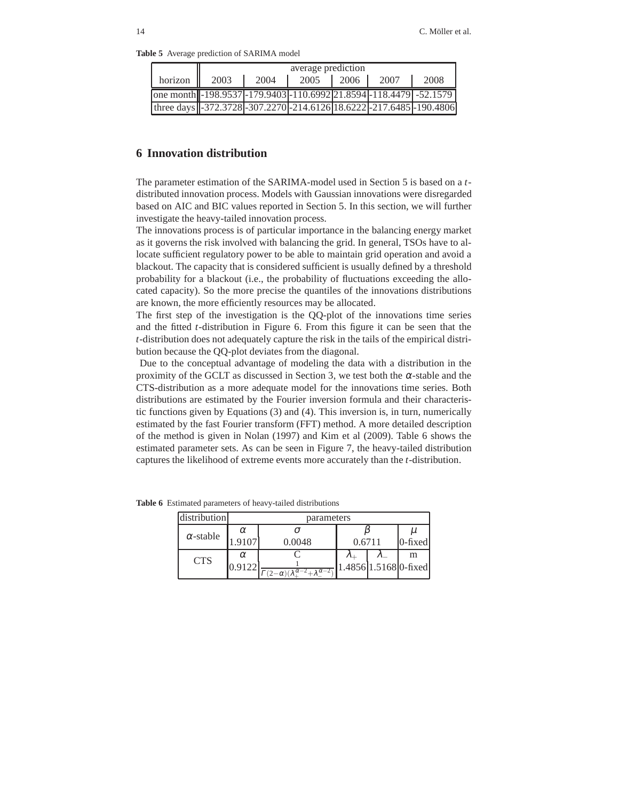**Table 5** Average prediction of SARIMA model

|                                                                          | average prediction |      |      |      |      |      |  |
|--------------------------------------------------------------------------|--------------------|------|------|------|------|------|--|
| horizon                                                                  | 2003               | 2004 | 2005 | 2006 | 2007 | 2008 |  |
| one month -198.9537 - 179.9403 - 110.6992 21.8594 - 118.4479 - 52.1579   |                    |      |      |      |      |      |  |
| three days -372.3728 - 307.2270 - 214.6126 18.6222 - 217.6485 - 190.4806 |                    |      |      |      |      |      |  |

# **6 Innovation distribution**

The parameter estimation of the SARIMA-model used in Section 5 is based on a *t*distributed innovation process. Models with Gaussian innovations were disregarded based on AIC and BIC values reported in Section 5. In this section, we will further investigate the heavy-tailed innovation process.

The innovations process is of particular importance in the balancing energy market as it governs the risk involved with balancing the grid. In general, TSOs have to allocate sufficient regulatory power to be able to maintain grid operation and avoid a blackout. The capacity that is considered sufficient is usually defined by a threshold probability for a blackout (i.e., the probability of fluctuations exceeding the allocated capacity). So the more precise the quantiles of the innovations distributions are known, the more efficiently resources may be allocated.

The first step of the investigation is the QQ-plot of the innovations time series and the fitted *t*-distribution in Figure 6. From this figure it can be seen that the *t*-distribution does not adequately capture the risk in the tails of the empirical distribution because the QQ-plot deviates from the diagonal.

Due to the conceptual advantage of modeling the data with a distribution in the proximity of the GCLT as discussed in Section 3, we test both the  $\alpha$ -stable and the CTS-distribution as a more adequate model for the innovations time series. Both distributions are estimated by the Fourier inversion formula and their characteristic functions given by Equations (3) and (4). This inversion is, in turn, numerically estimated by the fast Fourier transform (FFT) method. A more detailed description of the method is given in Nolan (1997) and Kim et al (2009). Table 6 shows the estimated parameter sets. As can be seen in Figure 7, the heavy-tailed distribution captures the likelihood of extreme events more accurately than the *t*-distribution.

| distribution     | parameters                   |                                                                        |                 |                   |                            |  |  |
|------------------|------------------------------|------------------------------------------------------------------------|-----------------|-------------------|----------------------------|--|--|
| $\alpha$ -stable | $\alpha$<br>0.0048<br>0.6711 |                                                                        | и<br>$0$ -fixed |                   |                            |  |  |
| <b>CTS</b>       | $\alpha$<br>1.9122           | $-\lambda^{\overline{\alpha-2}}$<br>$\alpha - 2$<br>$\Gamma(2-\alpha)$ |                 | $\mathcal{N}_{-}$ | m<br>1.4856 1.5168 0-fixed |  |  |

**Table 6** Estimated parameters of heavy-tailed distributions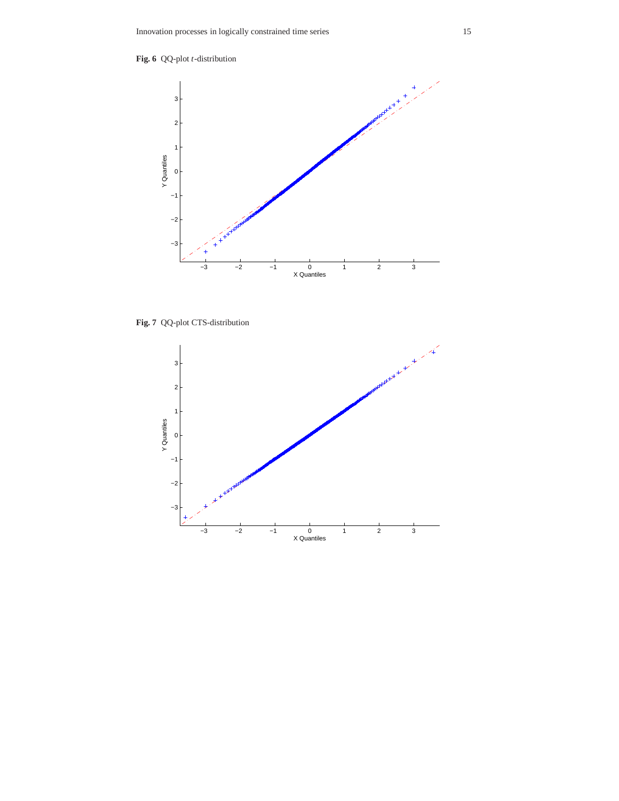



**Fig. 7** QQ-plot CTS-distribution

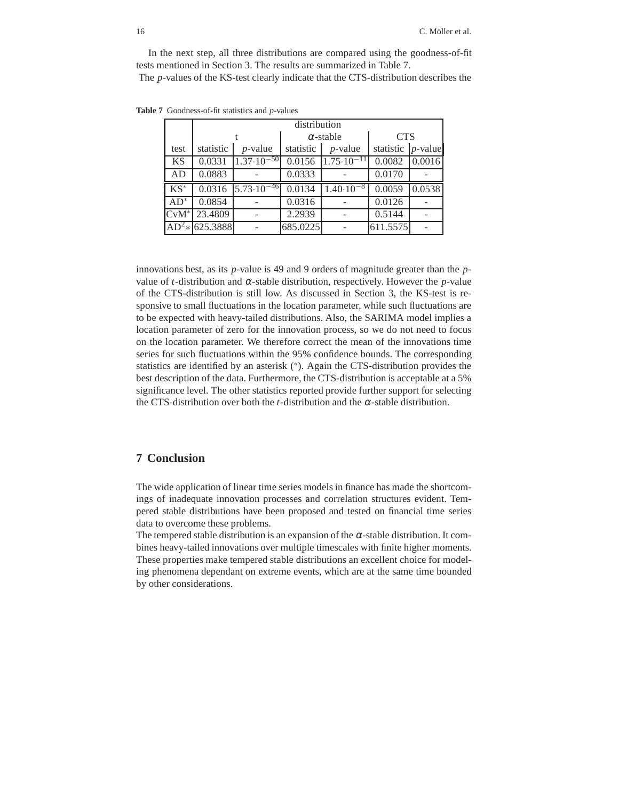In the next step, all three distributions are compared using the goodness-of-fit tests mentioned in Section 3. The results are summarized in Table 7.

The *p*-values of the KS-test clearly indicate that the CTS-distribution describes the

|                   | distribution      |                       |                     |                                |                       |        |  |
|-------------------|-------------------|-----------------------|---------------------|--------------------------------|-----------------------|--------|--|
|                   |                   |                       |                     | $\alpha$ -stable               | <b>CTS</b>            |        |  |
| test              | statistic         | $p$ -value            | statistic           | $p$ -value                     | statistic $ p$ -value |        |  |
| <b>KS</b>         | 0.0331            | $1.37 \cdot 10^{-50}$ |                     | $0.0156$ $1.75 \cdot 10^{-11}$ | 0.0082                | 0.0016 |  |
| AD                | 0.0883            |                       | $\overline{0.0333}$ |                                | 0.0170                |        |  |
| $\overline{KS^*}$ | 0.0316            | $5.73 \cdot 10^{-46}$ | 0.0134              | $1.40 \cdot 10^{-8}$           | 0.0059                | 0.0538 |  |
| $AD^*$            | 0.0854            |                       | 0.0316              |                                | 0.0126                |        |  |
| $CvM^*$           | 23.4809           |                       | 2.2939              |                                | 0.5144                |        |  |
|                   | $AD^2$ + 625.3888 |                       | 685.0225            |                                | 611.5575              |        |  |

**Table 7** Goodness-of-fit statistics and *p*-values

innovations best, as its *p*-value is 49 and 9 orders of magnitude greater than the *p*value of *t*-distribution and <sup>α</sup>-stable distribution, respectively. However the *p*-value of the CTS-distribution is still low. As discussed in Section 3, the KS-test is responsive to small fluctuations in the location parameter, while such fluctuations are to be expected with heavy-tailed distributions. Also, the SARIMA model implies a location parameter of zero for the innovation process, so we do not need to focus on the location parameter. We therefore correct the mean of the innovations time series for such fluctuations within the 95% confidence bounds. The corresponding statistics are identified by an asterisk (∗ ). Again the CTS-distribution provides the best description of the data. Furthermore, the CTS-distribution is acceptable at a 5% significance level. The other statistics reported provide further support for selecting the CTS-distribution over both the *t*-distribution and the  $\alpha$ -stable distribution.

# **7 Conclusion**

The wide application of linear time series models in finance has made the shortcomings of inadequate innovation processes and correlation structures evident. Tempered stable distributions have been proposed and tested on financial time series data to overcome these problems.

The tempered stable distribution is an expansion of the  $\alpha$ -stable distribution. It combines heavy-tailed innovations over multiple timescales with finite higher moments. These properties make tempered stable distributions an excellent choice for modeling phenomena dependant on extreme events, which are at the same time bounded by other considerations.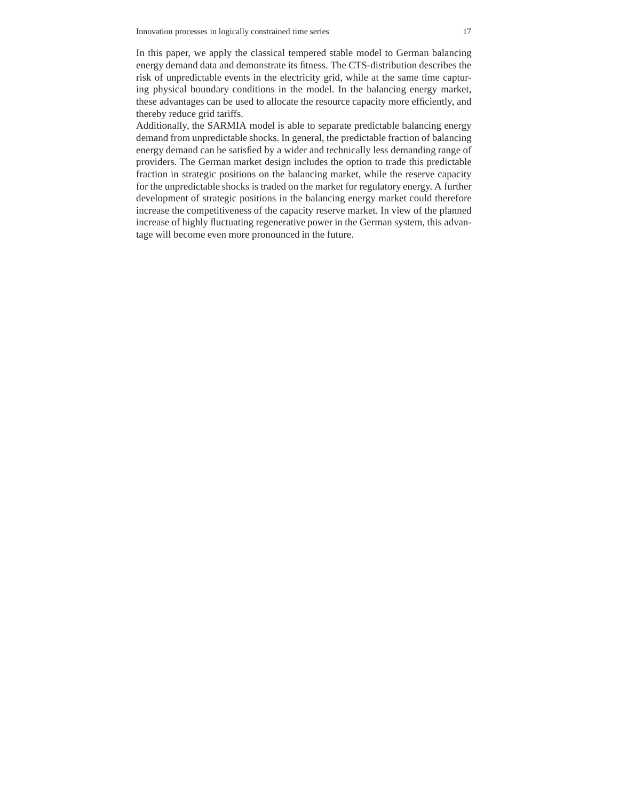In this paper, we apply the classical tempered stable model to German balancing energy demand data and demonstrate its fitness. The CTS-distribution describes the risk of unpredictable events in the electricity grid, while at the same time capturing physical boundary conditions in the model. In the balancing energy market, these advantages can be used to allocate the resource capacity more efficiently, and thereby reduce grid tariffs.

Additionally, the SARMIA model is able to separate predictable balancing energy demand from unpredictable shocks. In general, the predictable fraction of balancing energy demand can be satisfied by a wider and technically less demanding range of providers. The German market design includes the option to trade this predictable fraction in strategic positions on the balancing market, while the reserve capacity for the unpredictable shocks is traded on the market for regulatory energy. A further development of strategic positions in the balancing energy market could therefore increase the competitiveness of the capacity reserve market. In view of the planned increase of highly fluctuating regenerative power in the German system, this advantage will become even more pronounced in the future.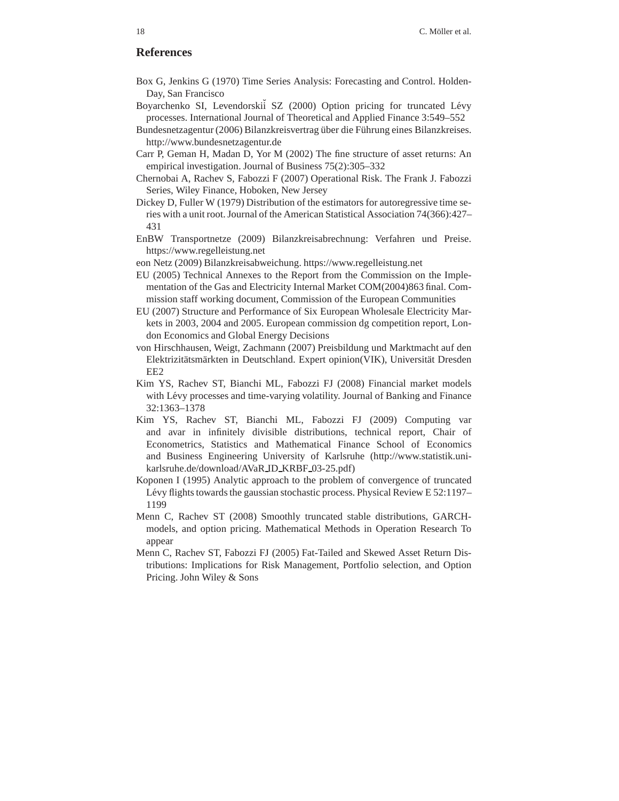### **References**

- Box G, Jenkins G (1970) Time Series Analysis: Forecasting and Control. Holden-Day, San Francisco
- Boyarchenko SI, Levendorskii SZ (2000) Option pricing for truncated Lévy processes. International Journal of Theoretical and Applied Finance 3:549–552
- Bundesnetzagentur (2006) Bilanzkreisvertrag über die Führung eines Bilanzkreises. http://www.bundesnetzagentur.de
- Carr P, Geman H, Madan D, Yor M (2002) The fine structure of asset returns: An empirical investigation. Journal of Business 75(2):305–332
- Chernobai A, Rachev S, Fabozzi F (2007) Operational Risk. The Frank J. Fabozzi Series, Wiley Finance, Hoboken, New Jersey
- Dickey D, Fuller W (1979) Distribution of the estimators for autoregressive time series with a unit root. Journal of the American Statistical Association 74(366):427– 431
- EnBW Transportnetze (2009) Bilanzkreisabrechnung: Verfahren und Preise. https://www.regelleistung.net
- eon Netz (2009) Bilanzkreisabweichung. https://www.regelleistung.net
- EU (2005) Technical Annexes to the Report from the Commission on the Implementation of the Gas and Electricity Internal Market COM(2004)863 final. Commission staff working document, Commission of the European Communities
- EU (2007) Structure and Performance of Six European Wholesale Electricity Markets in 2003, 2004 and 2005. European commission dg competition report, London Economics and Global Energy Decisions
- von Hirschhausen, Weigt, Zachmann (2007) Preisbildung und Marktmacht auf den Elektrizitätsmärkten in Deutschland. Expert opinion(VIK), Universität Dresden EE2
- Kim YS, Rachev ST, Bianchi ML, Fabozzi FJ (2008) Financial market models with Lévy processes and time-varying volatility. Journal of Banking and Finance 32:1363–1378
- Kim YS, Rachev ST, Bianchi ML, Fabozzi FJ (2009) Computing var and avar in infinitely divisible distributions, technical report, Chair of Econometrics, Statistics and Mathematical Finance School of Economics and Business Engineering University of Karlsruhe (http://www.statistik.unikarlsruhe.de/download/AVaR ID KRBF 03-25.pdf)
- Koponen I (1995) Analytic approach to the problem of convergence of truncated Lévy flights towards the gaussian stochastic process. Physical Review  $E$  52:1197– 1199
- Menn C, Rachev ST (2008) Smoothly truncated stable distributions, GARCHmodels, and option pricing. Mathematical Methods in Operation Research To appear
- Menn C, Rachev ST, Fabozzi FJ (2005) Fat-Tailed and Skewed Asset Return Distributions: Implications for Risk Management, Portfolio selection, and Option Pricing. John Wiley & Sons